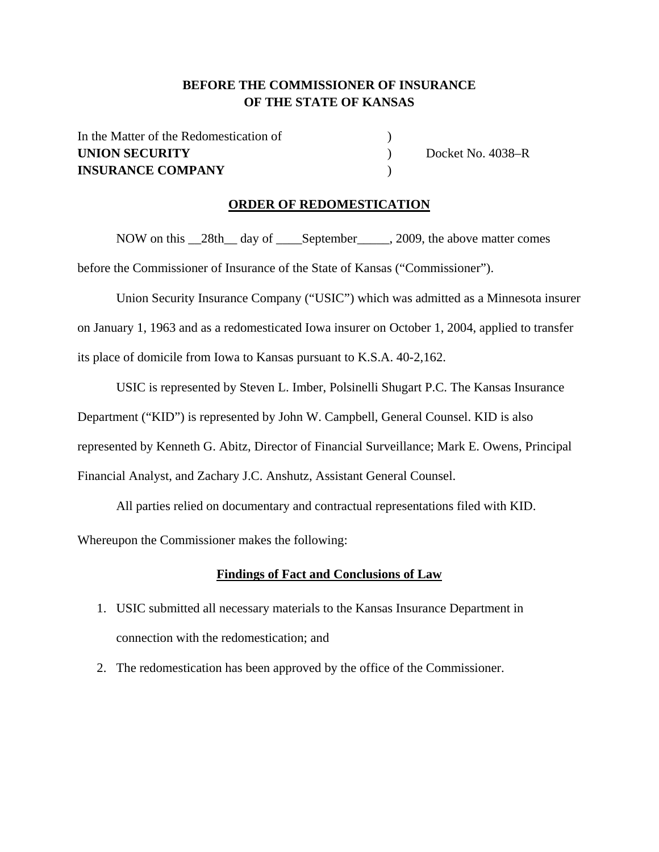### **BEFORE THE COMMISSIONER OF INSURANCE OF THE STATE OF KANSAS**

In the Matter of the Redomestication of  $\hspace{1.5cm}$  ) **UNION SECURITY** Docket No. 4038–R **INSURANCE COMPANY** )

### **ORDER OF REDOMESTICATION**

NOW on this \_\_28th\_\_ day of \_\_\_\_September\_\_\_\_\_, 2009, the above matter comes

before the Commissioner of Insurance of the State of Kansas ("Commissioner").

Union Security Insurance Company ("USIC") which was admitted as a Minnesota insurer on January 1, 1963 and as a redomesticated Iowa insurer on October 1, 2004, applied to transfer its place of domicile from Iowa to Kansas pursuant to K.S.A. 40-2,162.

USIC is represented by Steven L. Imber, Polsinelli Shugart P.C. The Kansas Insurance Department ("KID") is represented by John W. Campbell, General Counsel. KID is also represented by Kenneth G. Abitz, Director of Financial Surveillance; Mark E. Owens, Principal Financial Analyst, and Zachary J.C. Anshutz, Assistant General Counsel.

All parties relied on documentary and contractual representations filed with KID.

Whereupon the Commissioner makes the following:

#### **Findings of Fact and Conclusions of Law**

- 1. USIC submitted all necessary materials to the Kansas Insurance Department in connection with the redomestication; and
- 2. The redomestication has been approved by the office of the Commissioner.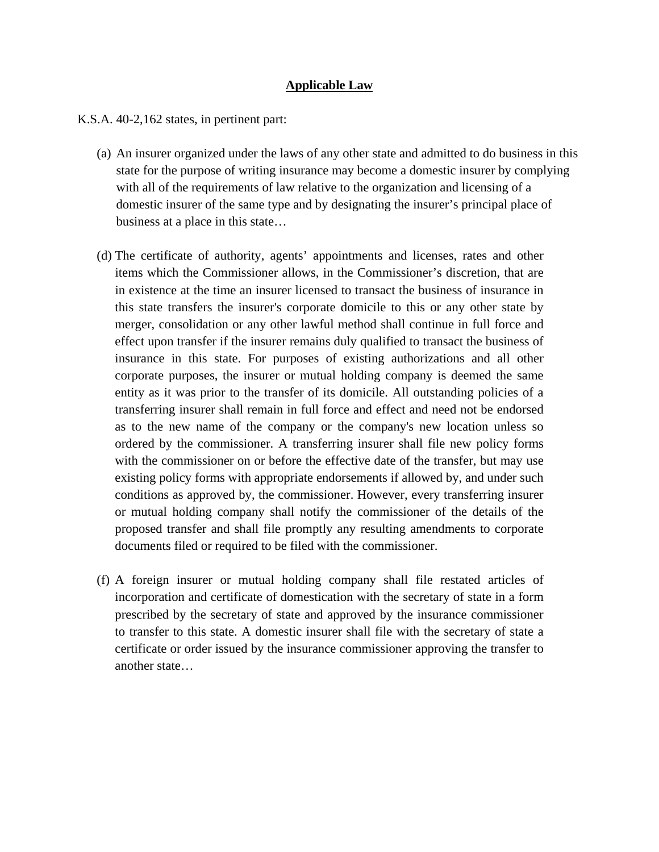### **Applicable Law**

K.S.A. 40-2,162 states, in pertinent part:

- (a) An insurer organized under the laws of any other state and admitted to do business in this state for the purpose of writing insurance may become a domestic insurer by complying with all of the requirements of law relative to the organization and licensing of a domestic insurer of the same type and by designating the insurer's principal place of business at a place in this state…
- (d) The certificate of authority, agents' appointments and licenses, rates and other items which the Commissioner allows, in the Commissioner's discretion, that are in existence at the time an insurer licensed to transact the business of insurance in this state transfers the insurer's corporate domicile to this or any other state by merger, consolidation or any other lawful method shall continue in full force and effect upon transfer if the insurer remains duly qualified to transact the business of insurance in this state. For purposes of existing authorizations and all other corporate purposes, the insurer or mutual holding company is deemed the same entity as it was prior to the transfer of its domicile. All outstanding policies of a transferring insurer shall remain in full force and effect and need not be endorsed as to the new name of the company or the company's new location unless so ordered by the commissioner. A transferring insurer shall file new policy forms with the commissioner on or before the effective date of the transfer, but may use existing policy forms with appropriate endorsements if allowed by, and under such conditions as approved by, the commissioner. However, every transferring insurer or mutual holding company shall notify the commissioner of the details of the proposed transfer and shall file promptly any resulting amendments to corporate documents filed or required to be filed with the commissioner.
- (f) A foreign insurer or mutual holding company shall file restated articles of incorporation and certificate of domestication with the secretary of state in a form prescribed by the secretary of state and approved by the insurance commissioner to transfer to this state. A domestic insurer shall file with the secretary of state a certificate or order issued by the insurance commissioner approving the transfer to another state…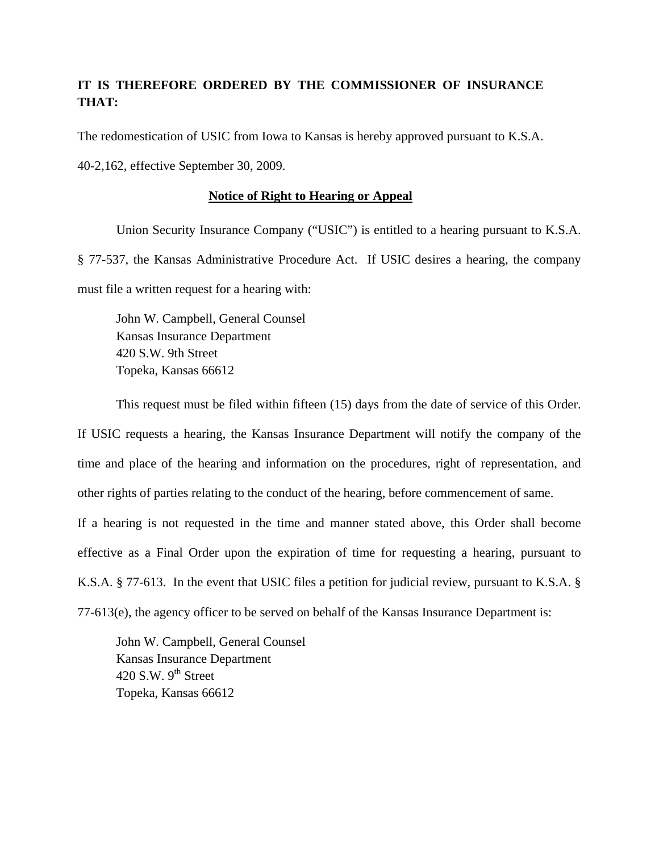## **IT IS THEREFORE ORDERED BY THE COMMISSIONER OF INSURANCE THAT:**

The redomestication of USIC from Iowa to Kansas is hereby approved pursuant to K.S.A.

40-2,162, effective September 30, 2009.

### **Notice of Right to Hearing or Appeal**

Union Security Insurance Company ("USIC") is entitled to a hearing pursuant to K.S.A. § 77-537, the Kansas Administrative Procedure Act. If USIC desires a hearing, the company must file a written request for a hearing with:

John W. Campbell, General Counsel Kansas Insurance Department 420 S.W. 9th Street Topeka, Kansas 66612

This request must be filed within fifteen (15) days from the date of service of this Order. If USIC requests a hearing, the Kansas Insurance Department will notify the company of the time and place of the hearing and information on the procedures, right of representation, and other rights of parties relating to the conduct of the hearing, before commencement of same. If a hearing is not requested in the time and manner stated above, this Order shall become effective as a Final Order upon the expiration of time for requesting a hearing, pursuant to K.S.A. § 77-613. In the event that USIC files a petition for judicial review, pursuant to K.S.A. § 77-613(e), the agency officer to be served on behalf of the Kansas Insurance Department is:

 John W. Campbell, General Counsel Kansas Insurance Department 420 S.W.  $9<sup>th</sup>$  Street Topeka, Kansas 66612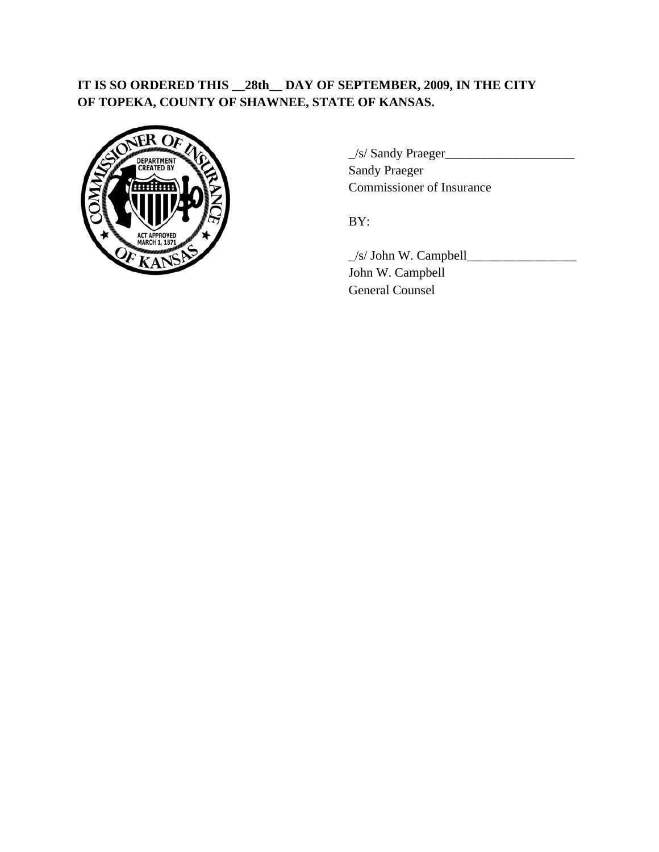# **IT IS SO ORDERED THIS \_\_28th\_\_ DAY OF SEPTEMBER, 2009, IN THE CITY OF TOPEKA, COUNTY OF SHAWNEE, STATE OF KANSAS.**



**DEPARTMENT VC. DEPARTMENT** Commissioner of Insurance

 $\angle$ s/ John W. Campbell $\angle$  John W. Campbell General Counsel